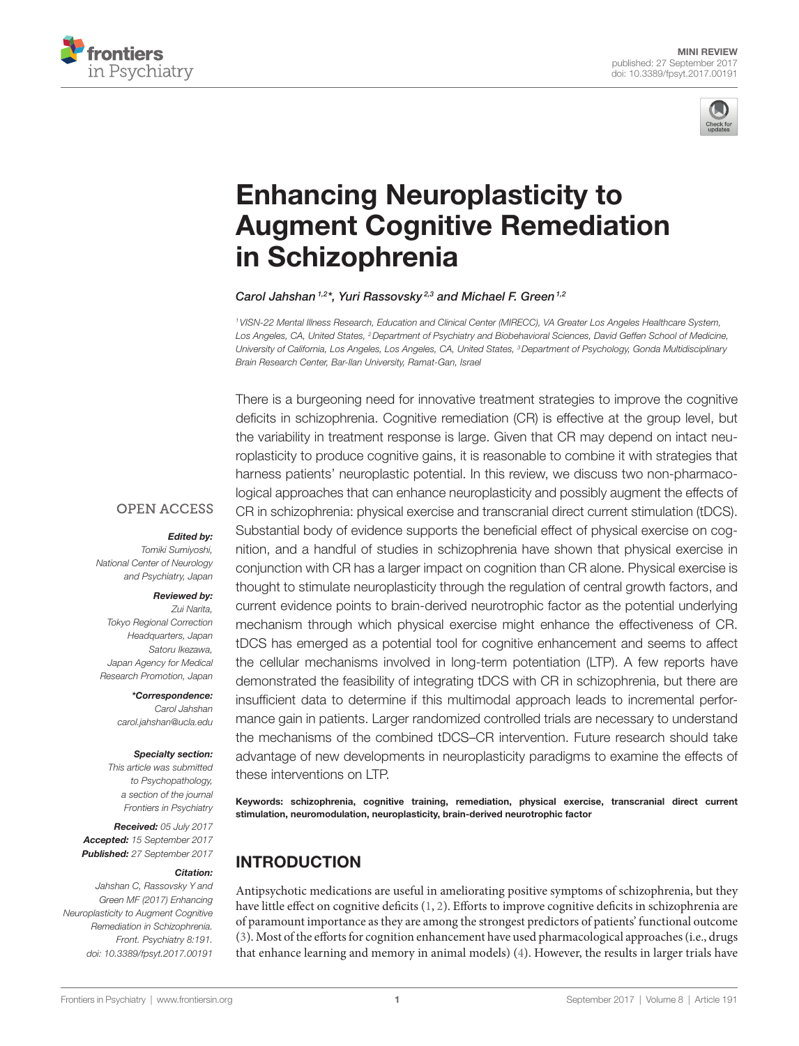



# **Enhancing Neuroplasticity to Augment Cognitive Remediation** in Schizophrenia

#### *[Carol Jahshan](http://loop.frontiersin.org/people/92880) 1,2\*, Yuri Rassovsky 2,3 and [Michael F. Green1](http://loop.frontiersin.org/people/55413),2*

*1VISN-22 Mental Illness Research, Education and Clinical Center (MIRECC), VA Greater Los Angeles Healthcare System,*  Los Angeles, CA, United States, <sup>2</sup>Department of Psychiatry and Biobehavioral Sciences, David Geffen School of Medicine, *University of California, Los Angeles, Los Angeles, CA, United States, 3Department of Psychology, Gonda Multidisciplinary Brain Research Center, Bar-Ilan University, Ramat-Gan, Israel*

There is a burgeoning need for innovative treatment strategies to improve the cognitive deficits in schizophrenia. Cognitive remediation (CR) is effective at the group level, but the variability in treatment response is large. Given that CR may depend on intact neuroplasticity to produce cognitive gains, it is reasonable to combine it with strategies that harness patients' neuroplastic potential. In this review, we discuss two non-pharmacological approaches that can enhance neuroplasticity and possibly augment the effects of CR in schizophrenia: physical exercise and transcranial direct current stimulation (tDCS). Substantial body of evidence supports the beneficial effect of physical exercise on cognition, and a handful of studies in schizophrenia have shown that physical exercise in conjunction with CR has a larger impact on cognition than CR alone. Physical exercise is thought to stimulate neuroplasticity through the regulation of central growth factors, and current evidence points to brain-derived neurotrophic factor as the potential underlying mechanism through which physical exercise might enhance the effectiveness of CR. tDCS has emerged as a potential tool for cognitive enhancement and seems to affect the cellular mechanisms involved in long-term potentiation (LTP). A few reports have demonstrated the feasibility of integrating tDCS with CR in schizophrenia, but there are insufficient data to determine if this multimodal approach leads to incremental performance gain in patients. Larger randomized controlled trials are necessary to understand the mechanisms of the combined tDCS–CR intervention. Future research should take advantage of new developments in neuroplasticity paradigms to examine the effects of these interventions on LTP.

Keywords: schizophrenia, cognitive training, remediation, physical exercise, transcranial direct current stimulation, neuromodulation, neuroplasticity, brain-derived neurotrophic factor

# INTRODUCTION

Antipsychotic medications are useful in ameliorating positive symptoms of schizophrenia, but they have little effect on cognitive deficits [\(1,](#page-4-0) [2](#page-4-1)). Efforts to improve cognitive deficits in schizophrenia are of paramount importance as they are among the strongest predictors of patients' functional outcome [\(3\)](#page-4-2). Most of the efforts for cognition enhancement have used pharmacological approaches (i.e., drugs that enhance learning and memory in animal models) ([4\)](#page-4-3). However, the results in larger trials have

#### **OPEN ACCESS**

#### *Edited by:*

*Tomiki Sumiyoshi, National Center of Neurology and Psychiatry, Japan*

#### *Reviewed by:*

*Zui Narita, Tokyo Regional Correction Headquarters, Japan Satoru Ikezawa, Japan Agency for Medical Research Promotion, Japan*

> *\*Correspondence: Carol Jahshan [carol.jahshan@ucla.edu](mailto:carol.jahshan@ucla.edu)*

#### *Specialty section:*

*This article was submitted to Psychopathology, a section of the journal Frontiers in Psychiatry*

*Received: 05 July 2017 Accepted: 15 September 2017 Published: 27 September 2017*

#### *Citation:*

*Jahshan C, Rassovsky Y and Green MF (2017) Enhancing Neuroplasticity to Augment Cognitive Remediation in Schizophrenia. Front. Psychiatry 8:191. doi: [10.3389/fpsyt.2017.00191](https://doi.org/10.3389/fpsyt.2017.00191)*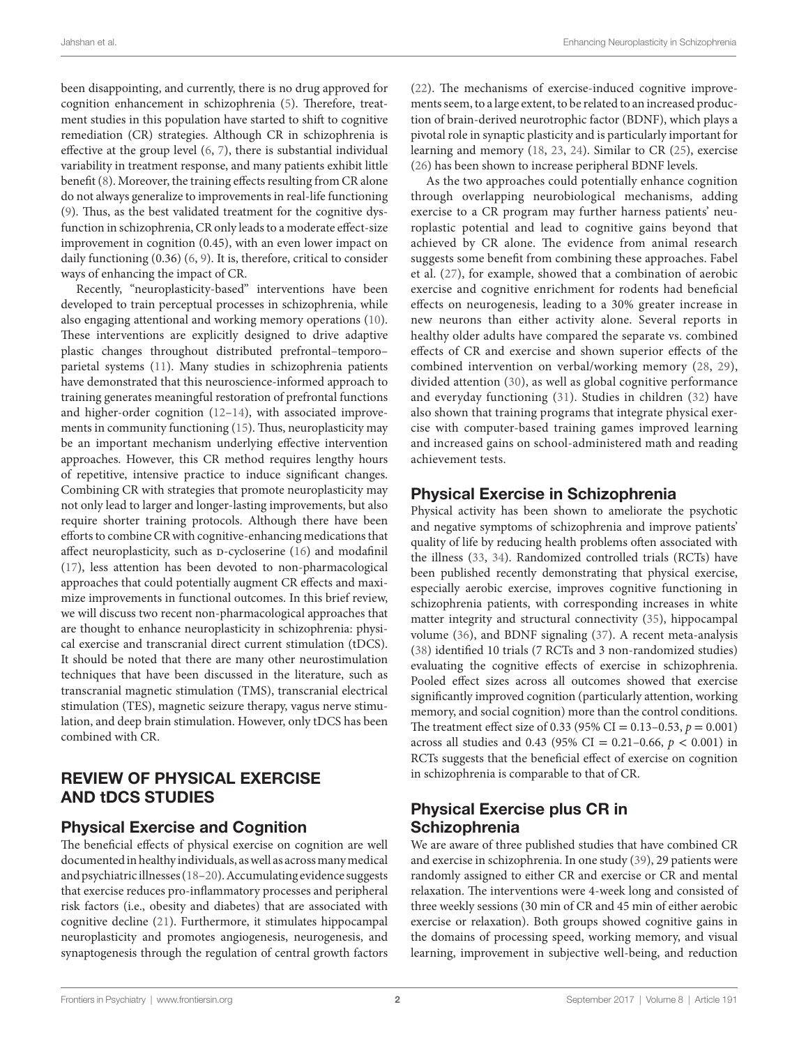been disappointing, and currently, there is no drug approved for cognition enhancement in schizophrenia [\(5\)](#page-4-4). Therefore, treatment studies in this population have started to shift to cognitive remediation (CR) strategies. Although CR in schizophrenia is effective at the group level ([6](#page-4-5), [7](#page-4-6)), there is substantial individual variability in treatment response, and many patients exhibit little benefit [\(8\)](#page-4-7). Moreover, the training effects resulting from CR alone do not always generalize to improvements in real-life functioning ([9](#page-4-8)). Thus, as the best validated treatment for the cognitive dysfunction in schizophrenia, CR only leads to a moderate effect-size improvement in cognition (0.45), with an even lower impact on daily functioning (0.36) ([6](#page-4-5), [9](#page-4-8)). It is, therefore, critical to consider ways of enhancing the impact of CR.

Recently, "neuroplasticity-based" interventions have been developed to train perceptual processes in schizophrenia, while also engaging attentional and working memory operations ([10\)](#page-4-9). These interventions are explicitly designed to drive adaptive plastic changes throughout distributed prefrontal–temporo– parietal systems [\(11](#page-4-10)). Many studies in schizophrenia patients have demonstrated that this neuroscience-informed approach to training generates meaningful restoration of prefrontal functions and higher-order cognition ([12](#page-4-11)[–14](#page-4-12)), with associated improvements in community functioning ([15\)](#page-4-13). Thus, neuroplasticity may be an important mechanism underlying effective intervention approaches. However, this CR method requires lengthy hours of repetitive, intensive practice to induce significant changes. Combining CR with strategies that promote neuroplasticity may not only lead to larger and longer-lasting improvements, but also require shorter training protocols. Although there have been efforts to combine CR with cognitive-enhancing medications that affect neuroplasticity, such as D-cycloserine [\(16](#page-4-14)) and modafinil ([17\)](#page-4-15), less attention has been devoted to non-pharmacological approaches that could potentially augment CR effects and maximize improvements in functional outcomes. In this brief review, we will discuss two recent non-pharmacological approaches that are thought to enhance neuroplasticity in schizophrenia: physical exercise and transcranial direct current stimulation (tDCS). It should be noted that there are many other neurostimulation techniques that have been discussed in the literature, such as transcranial magnetic stimulation (TMS), transcranial electrical stimulation (TES), magnetic seizure therapy, vagus nerve stimulation, and deep brain stimulation. However, only tDCS has been combined with CR.

## REVIEW OF PHYSICAL EXERCISE AND tDCS STUDIES

#### Physical Exercise and Cognition

The beneficial effects of physical exercise on cognition are well documented in healthy individuals, as well as across many medical and psychiatric illnesses ([18](#page-4-16)–[20](#page-4-17)). Accumulating evidence suggests that exercise reduces pro-inflammatory processes and peripheral risk factors (i.e., obesity and diabetes) that are associated with cognitive decline [\(21](#page-4-18)). Furthermore, it stimulates hippocampal neuroplasticity and promotes angiogenesis, neurogenesis, and synaptogenesis through the regulation of central growth factors

[\(22\)](#page-4-19). The mechanisms of exercise-induced cognitive improvements seem, to a large extent, to be related to an increased production of brain-derived neurotrophic factor (BDNF), which plays a pivotal role in synaptic plasticity and is particularly important for learning and memory ([18,](#page-4-16) [23,](#page-4-20) [24](#page-4-21)). Similar to CR [\(25](#page-4-22)), exercise [\(26\)](#page-4-23) has been shown to increase peripheral BDNF levels.

As the two approaches could potentially enhance cognition through overlapping neurobiological mechanisms, adding exercise to a CR program may further harness patients' neuroplastic potential and lead to cognitive gains beyond that achieved by CR alone. The evidence from animal research suggests some benefit from combining these approaches. Fabel et al. [\(27\)](#page-4-24), for example, showed that a combination of aerobic exercise and cognitive enrichment for rodents had beneficial effects on neurogenesis, leading to a 30% greater increase in new neurons than either activity alone. Several reports in healthy older adults have compared the separate vs. combined effects of CR and exercise and shown superior effects of the combined intervention on verbal/working memory [\(28,](#page-4-25) [29](#page-4-26)), divided attention ([30](#page-4-27)), as well as global cognitive performance and everyday functioning [\(31\)](#page-4-28). Studies in children ([32](#page-4-29)) have also shown that training programs that integrate physical exercise with computer-based training games improved learning and increased gains on school-administered math and reading achievement tests.

## Physical Exercise in Schizophrenia

Physical activity has been shown to ameliorate the psychotic and negative symptoms of schizophrenia and improve patients' quality of life by reducing health problems often associated with the illness [\(33](#page-4-30), [34\)](#page-4-31). Randomized controlled trials (RCTs) have been published recently demonstrating that physical exercise, especially aerobic exercise, improves cognitive functioning in schizophrenia patients, with corresponding increases in white matter integrity and structural connectivity [\(35](#page-4-32)), hippocampal volume ([36\)](#page-4-33), and BDNF signaling [\(37](#page-4-34)). A recent meta-analysis [\(38\)](#page-4-35) identified 10 trials (7 RCTs and 3 non-randomized studies) evaluating the cognitive effects of exercise in schizophrenia. Pooled effect sizes across all outcomes showed that exercise significantly improved cognition (particularly attention, working memory, and social cognition) more than the control conditions. The treatment effect size of 0.33 (95% CI = 0.13–0.53, *p* = 0.001) across all studies and 0.43 (95% CI = 0.21–0.66, *p* < 0.001) in RCTs suggests that the beneficial effect of exercise on cognition in schizophrenia is comparable to that of CR.

## Physical Exercise plus CR in **Schizophrenia**

We are aware of three published studies that have combined CR and exercise in schizophrenia. In one study ([39\)](#page-5-0), 29 patients were randomly assigned to either CR and exercise or CR and mental relaxation. The interventions were 4-week long and consisted of three weekly sessions (30 min of CR and 45 min of either aerobic exercise or relaxation). Both groups showed cognitive gains in the domains of processing speed, working memory, and visual learning, improvement in subjective well-being, and reduction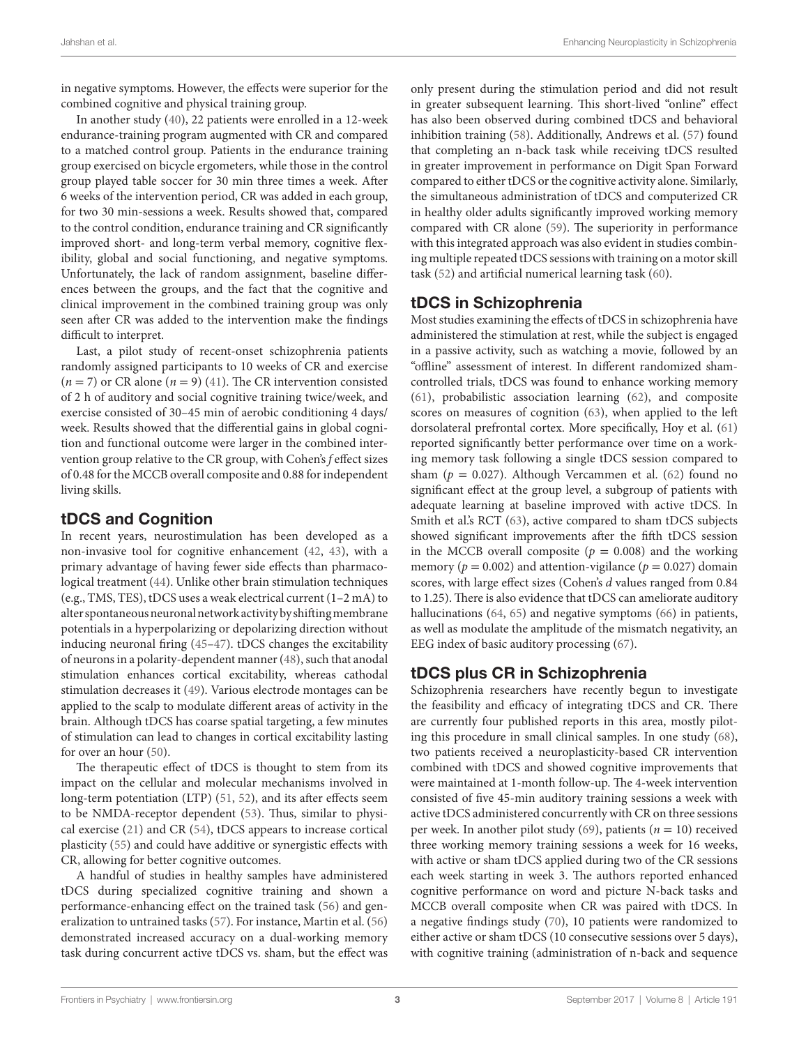in negative symptoms. However, the effects were superior for the combined cognitive and physical training group.

In another study ([40\)](#page-5-1), 22 patients were enrolled in a 12-week endurance-training program augmented with CR and compared to a matched control group. Patients in the endurance training group exercised on bicycle ergometers, while those in the control group played table soccer for 30 min three times a week. After 6 weeks of the intervention period, CR was added in each group, for two 30 min-sessions a week. Results showed that, compared to the control condition, endurance training and CR significantly improved short- and long-term verbal memory, cognitive flexibility, global and social functioning, and negative symptoms. Unfortunately, the lack of random assignment, baseline differences between the groups, and the fact that the cognitive and clinical improvement in the combined training group was only seen after CR was added to the intervention make the findings difficult to interpret.

Last, a pilot study of recent-onset schizophrenia patients randomly assigned participants to 10 weeks of CR and exercise  $(n = 7)$  or CR alone  $(n = 9)$  [\(41](#page-5-2)). The CR intervention consisted of 2 h of auditory and social cognitive training twice/week, and exercise consisted of 30–45 min of aerobic conditioning 4 days/ week. Results showed that the differential gains in global cognition and functional outcome were larger in the combined intervention group relative to the CR group, with Cohen's *f* effect sizes of 0.48 for the MCCB overall composite and 0.88 for independent living skills.

#### tDCS and Cognition

In recent years, neurostimulation has been developed as a non-invasive tool for cognitive enhancement ([42](#page-5-3), [43](#page-5-4)), with a primary advantage of having fewer side effects than pharmacological treatment ([44\)](#page-5-5). Unlike other brain stimulation techniques (e.g., TMS, TES), tDCS uses a weak electrical current (1–2 mA) to alter spontaneous neuronal network activity by shifting membrane potentials in a hyperpolarizing or depolarizing direction without inducing neuronal firing [\(45–](#page-5-6)[47\)](#page-5-7). tDCS changes the excitability of neurons in a polarity-dependent manner ([48\)](#page-5-8), such that anodal stimulation enhances cortical excitability, whereas cathodal stimulation decreases it [\(49](#page-5-9)). Various electrode montages can be applied to the scalp to modulate different areas of activity in the brain. Although tDCS has coarse spatial targeting, a few minutes of stimulation can lead to changes in cortical excitability lasting for over an hour [\(50\)](#page-5-10).

The therapeutic effect of tDCS is thought to stem from its impact on the cellular and molecular mechanisms involved in long-term potentiation (LTP) ([51,](#page-5-11) [52\)](#page-5-12), and its after effects seem to be NMDA-receptor dependent [\(53\)](#page-5-13). Thus, similar to physical exercise ([21\)](#page-4-18) and CR [\(54\)](#page-5-14), tDCS appears to increase cortical plasticity [\(55](#page-5-15)) and could have additive or synergistic effects with CR, allowing for better cognitive outcomes.

A handful of studies in healthy samples have administered tDCS during specialized cognitive training and shown a performance-enhancing effect on the trained task [\(56\)](#page-5-16) and generalization to untrained tasks ([57\)](#page-5-17). For instance, Martin et al. ([56\)](#page-5-16) demonstrated increased accuracy on a dual-working memory task during concurrent active tDCS vs. sham, but the effect was only present during the stimulation period and did not result in greater subsequent learning. This short-lived "online" effect has also been observed during combined tDCS and behavioral inhibition training ([58\)](#page-5-18). Additionally, Andrews et al. [\(57](#page-5-17)) found that completing an n-back task while receiving tDCS resulted in greater improvement in performance on Digit Span Forward compared to either tDCS or the cognitive activity alone. Similarly, the simultaneous administration of tDCS and computerized CR in healthy older adults significantly improved working memory compared with CR alone [\(59](#page-5-19)). The superiority in performance with this integrated approach was also evident in studies combining multiple repeated tDCS sessions with training on a motor skill task ([52\)](#page-5-12) and artificial numerical learning task ([60\)](#page-5-20).

## tDCS in Schizophrenia

Most studies examining the effects of tDCS in schizophrenia have administered the stimulation at rest, while the subject is engaged in a passive activity, such as watching a movie, followed by an "offline" assessment of interest. In different randomized shamcontrolled trials, tDCS was found to enhance working memory [\(61\)](#page-5-21), probabilistic association learning ([62\)](#page-5-22), and composite scores on measures of cognition [\(63\)](#page-5-23), when applied to the left dorsolateral prefrontal cortex. More specifically, Hoy et al. ([61\)](#page-5-21) reported significantly better performance over time on a working memory task following a single tDCS session compared to sham ( $p = 0.027$ ). Although Vercammen et al. [\(62\)](#page-5-22) found no significant effect at the group level, a subgroup of patients with adequate learning at baseline improved with active tDCS. In Smith et al.'s RCT ([63](#page-5-23)), active compared to sham tDCS subjects showed significant improvements after the fifth tDCS session in the MCCB overall composite ( $p = 0.008$ ) and the working memory ( $p = 0.002$ ) and attention-vigilance ( $p = 0.027$ ) domain scores, with large effect sizes (Cohen's *d* values ranged from 0.84 to 1.25). There is also evidence that tDCS can ameliorate auditory hallucinations ([64,](#page-5-24) [65](#page-5-25)) and negative symptoms ([66](#page-5-26)) in patients, as well as modulate the amplitude of the mismatch negativity, an EEG index of basic auditory processing [\(67](#page-5-27)).

## tDCS plus CR in Schizophrenia

Schizophrenia researchers have recently begun to investigate the feasibility and efficacy of integrating tDCS and CR. There are currently four published reports in this area, mostly piloting this procedure in small clinical samples. In one study [\(68](#page-5-28)), two patients received a neuroplasticity-based CR intervention combined with tDCS and showed cognitive improvements that were maintained at 1-month follow-up. The 4-week intervention consisted of five 45-min auditory training sessions a week with active tDCS administered concurrently with CR on three sessions per week. In another pilot study [\(69](#page-5-29)), patients (*n* = 10) received three working memory training sessions a week for 16 weeks, with active or sham tDCS applied during two of the CR sessions each week starting in week 3. The authors reported enhanced cognitive performance on word and picture N-back tasks and MCCB overall composite when CR was paired with tDCS. In a negative findings study [\(70](#page-5-30)), 10 patients were randomized to either active or sham tDCS (10 consecutive sessions over 5 days), with cognitive training (administration of n-back and sequence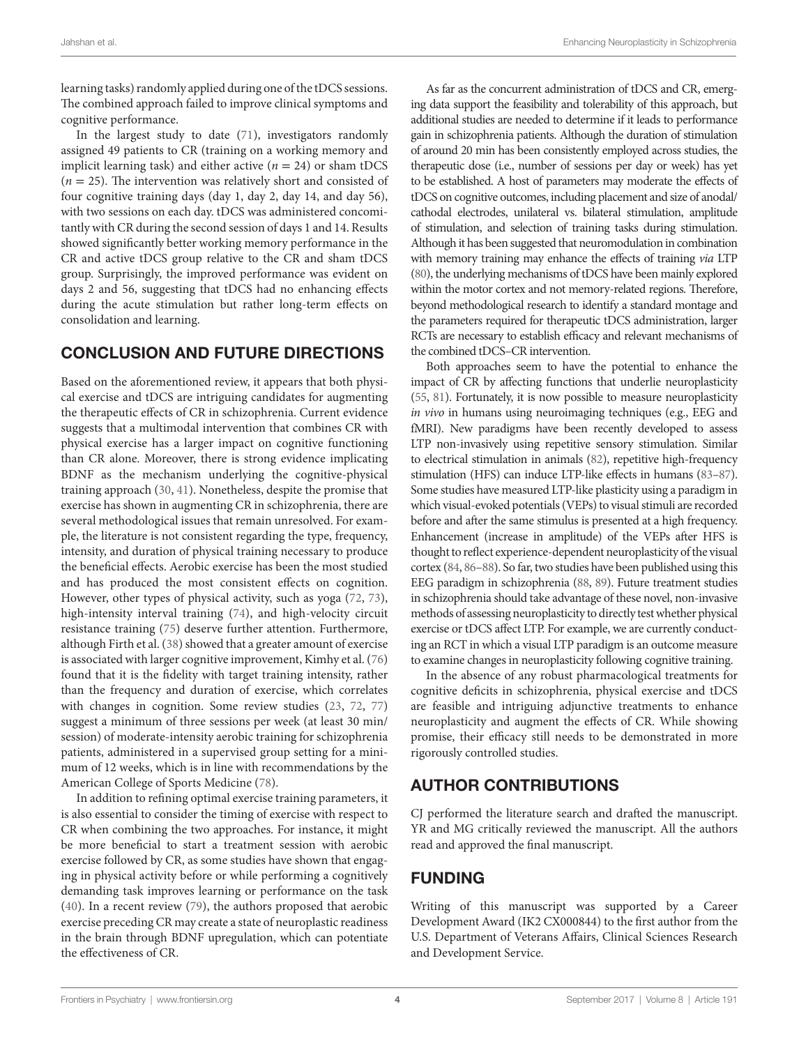learning tasks) randomly applied during one of the tDCS sessions. The combined approach failed to improve clinical symptoms and cognitive performance.

In the largest study to date ([71\)](#page-5-31), investigators randomly assigned 49 patients to CR (training on a working memory and implicit learning task) and either active  $(n = 24)$  or sham tDCS  $(n = 25)$ . The intervention was relatively short and consisted of four cognitive training days (day 1, day 2, day 14, and day 56), with two sessions on each day. tDCS was administered concomitantly with CR during the second session of days 1 and 14. Results showed significantly better working memory performance in the CR and active tDCS group relative to the CR and sham tDCS group. Surprisingly, the improved performance was evident on days 2 and 56, suggesting that tDCS had no enhancing effects during the acute stimulation but rather long-term effects on consolidation and learning.

## CONCLUSION AND FUTURE DIRECTIONS

Based on the aforementioned review, it appears that both physical exercise and tDCS are intriguing candidates for augmenting the therapeutic effects of CR in schizophrenia. Current evidence suggests that a multimodal intervention that combines CR with physical exercise has a larger impact on cognitive functioning than CR alone. Moreover, there is strong evidence implicating BDNF as the mechanism underlying the cognitive-physical training approach [\(30](#page-4-27), [41\)](#page-5-2). Nonetheless, despite the promise that exercise has shown in augmenting CR in schizophrenia, there are several methodological issues that remain unresolved. For example, the literature is not consistent regarding the type, frequency, intensity, and duration of physical training necessary to produce the beneficial effects. Aerobic exercise has been the most studied and has produced the most consistent effects on cognition. However, other types of physical activity, such as yoga [\(72,](#page-5-32) [73\)](#page-5-33), high-intensity interval training ([74\)](#page-5-34), and high-velocity circuit resistance training ([75](#page-6-0)) deserve further attention. Furthermore, although Firth et al. ([38](#page-4-35)) showed that a greater amount of exercise is associated with larger cognitive improvement, Kimhy et al. ([76\)](#page-6-1) found that it is the fidelity with target training intensity, rather than the frequency and duration of exercise, which correlates with changes in cognition. Some review studies [\(23,](#page-4-20) [72](#page-5-32), [77\)](#page-6-2) suggest a minimum of three sessions per week (at least 30 min/ session) of moderate-intensity aerobic training for schizophrenia patients, administered in a supervised group setting for a minimum of 12 weeks, which is in line with recommendations by the American College of Sports Medicine [\(78](#page-6-3)).

In addition to refining optimal exercise training parameters, it is also essential to consider the timing of exercise with respect to CR when combining the two approaches. For instance, it might be more beneficial to start a treatment session with aerobic exercise followed by CR, as some studies have shown that engaging in physical activity before or while performing a cognitively demanding task improves learning or performance on the task ([40\)](#page-5-1). In a recent review ([79\)](#page-6-4), the authors proposed that aerobic exercise preceding CR may create a state of neuroplastic readiness in the brain through BDNF upregulation, which can potentiate the effectiveness of CR.

As far as the concurrent administration of tDCS and CR, emerging data support the feasibility and tolerability of this approach, but additional studies are needed to determine if it leads to performance gain in schizophrenia patients. Although the duration of stimulation of around 20 min has been consistently employed across studies, the therapeutic dose (i.e., number of sessions per day or week) has yet to be established. A host of parameters may moderate the effects of tDCS on cognitive outcomes, including placement and size of anodal/ cathodal electrodes, unilateral vs. bilateral stimulation, amplitude of stimulation, and selection of training tasks during stimulation. Although it has been suggested that neuromodulation in combination with memory training may enhance the effects of training *via* LTP [\(80\)](#page-6-5), the underlying mechanisms of tDCS have been mainly explored within the motor cortex and not memory-related regions. Therefore, beyond methodological research to identify a standard montage and the parameters required for therapeutic tDCS administration, larger RCTs are necessary to establish efficacy and relevant mechanisms of the combined tDCS–CR intervention.

Both approaches seem to have the potential to enhance the impact of CR by affecting functions that underlie neuroplasticity [\(55](#page-5-15), [81\)](#page-6-6). Fortunately, it is now possible to measure neuroplasticity *in vivo* in humans using neuroimaging techniques (e.g., EEG and fMRI). New paradigms have been recently developed to assess LTP non-invasively using repetitive sensory stimulation. Similar to electrical stimulation in animals [\(82](#page-6-7)), repetitive high-frequency stimulation (HFS) can induce LTP-like effects in humans [\(83](#page-6-8)[–87\)](#page-6-9). Some studies have measured LTP-like plasticity using a paradigm in which visual-evoked potentials (VEPs) to visual stimuli are recorded before and after the same stimulus is presented at a high frequency. Enhancement (increase in amplitude) of the VEPs after HFS is thought to reflect experience-dependent neuroplasticity of the visual cortex ([84](#page-6-10), [86](#page-6-11)[–88](#page-6-12)). So far, two studies have been published using this EEG paradigm in schizophrenia [\(88,](#page-6-12) [89](#page-6-13)). Future treatment studies in schizophrenia should take advantage of these novel, non-invasive methods of assessing neuroplasticity to directly test whether physical exercise or tDCS affect LTP. For example, we are currently conducting an RCT in which a visual LTP paradigm is an outcome measure to examine changes in neuroplasticity following cognitive training.

In the absence of any robust pharmacological treatments for cognitive deficits in schizophrenia, physical exercise and tDCS are feasible and intriguing adjunctive treatments to enhance neuroplasticity and augment the effects of CR. While showing promise, their efficacy still needs to be demonstrated in more rigorously controlled studies.

# AUTHOR CONTRIBUTIONS

CJ performed the literature search and drafted the manuscript. YR and MG critically reviewed the manuscript. All the authors read and approved the final manuscript.

## FUNDING

Writing of this manuscript was supported by a Career Development Award (IK2 CX000844) to the first author from the U.S. Department of Veterans Affairs, Clinical Sciences Research and Development Service.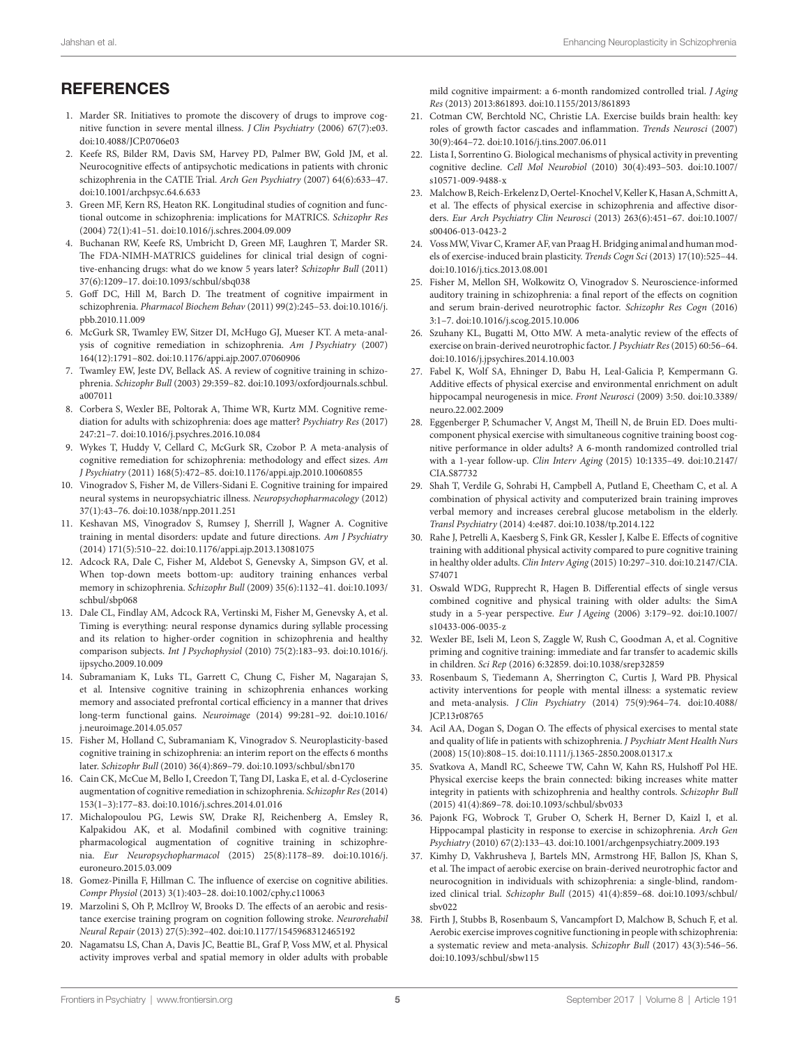# **REFERENCES**

- <span id="page-4-0"></span>1. Marder SR. Initiatives to promote the discovery of drugs to improve cognitive function in severe mental illness. *J Clin Psychiatry* (2006) 67(7):e03. doi:[10.4088/JCP.0706e03](https://doi.org/10.4088/JCP.0706e03)
- <span id="page-4-1"></span>2. Keefe RS, Bilder RM, Davis SM, Harvey PD, Palmer BW, Gold JM, et al. Neurocognitive effects of antipsychotic medications in patients with chronic schizophrenia in the CATIE Trial. *Arch Gen Psychiatry* (2007) 64(6):633–47. doi:[10.1001/archpsyc.64.6.633](https://doi.org/10.1001/archpsyc.64.6.633)
- <span id="page-4-2"></span>3. Green MF, Kern RS, Heaton RK. Longitudinal studies of cognition and functional outcome in schizophrenia: implications for MATRICS. *Schizophr Res* (2004) 72(1):41–51. doi[:10.1016/j.schres.2004.09.009](https://doi.org/10.1016/j.schres.2004.09.009)
- <span id="page-4-3"></span>4. Buchanan RW, Keefe RS, Umbricht D, Green MF, Laughren T, Marder SR. The FDA-NIMH-MATRICS guidelines for clinical trial design of cognitive-enhancing drugs: what do we know 5 years later? *Schizophr Bull* (2011) 37(6):1209–17. doi[:10.1093/schbul/sbq038](https://doi.org/10.1093/schbul/sbq038)
- <span id="page-4-4"></span>5. Goff DC, Hill M, Barch D. The treatment of cognitive impairment in schizophrenia. *Pharmacol Biochem Behav* (2011) 99(2):245–53. doi:[10.1016/j.](https://doi.org/10.1016/j.pbb.2010.11.009) [pbb.2010.11.009](https://doi.org/10.1016/j.pbb.2010.11.009)
- <span id="page-4-5"></span>6. McGurk SR, Twamley EW, Sitzer DI, McHugo GJ, Mueser KT. A meta-analysis of cognitive remediation in schizophrenia. *Am J Psychiatry* (2007) 164(12):1791–802. doi[:10.1176/appi.ajp.2007.07060906](https://doi.org/10.1176/appi.ajp.2007.07060906)
- <span id="page-4-6"></span>7. Twamley EW, Jeste DV, Bellack AS. A review of cognitive training in schizophrenia. *Schizophr Bull* (2003) 29:359–82. doi[:10.1093/oxfordjournals.schbul.](https://doi.org/10.1093/oxfordjournals.schbul.a007011) [a007011](https://doi.org/10.1093/oxfordjournals.schbul.a007011)
- <span id="page-4-7"></span>8. Corbera S, Wexler BE, Poltorak A, Thime WR, Kurtz MM. Cognitive remediation for adults with schizophrenia: does age matter? *Psychiatry Res* (2017) 247:21–7. doi[:10.1016/j.psychres.2016.10.084](https://doi.org/10.1016/j.psychres.2016.10.084)
- <span id="page-4-8"></span>9. Wykes T, Huddy V, Cellard C, McGurk SR, Czobor P. A meta-analysis of cognitive remediation for schizophrenia: methodology and effect sizes. *Am J Psychiatry* (2011) 168(5):472–85. doi:[10.1176/appi.ajp.2010.10060855](https://doi.org/10.1176/appi.ajp.2010.10060855)
- <span id="page-4-9"></span>10. Vinogradov S, Fisher M, de Villers-Sidani E. Cognitive training for impaired neural systems in neuropsychiatric illness. *Neuropsychopharmacology* (2012) 37(1):43–76. doi[:10.1038/npp.2011.251](https://doi.org/10.1038/npp.2011.251)
- <span id="page-4-10"></span>11. Keshavan MS, Vinogradov S, Rumsey J, Sherrill J, Wagner A. Cognitive training in mental disorders: update and future directions. *Am J Psychiatry* (2014) 171(5):510–22. doi:[10.1176/appi.ajp.2013.13081075](https://doi.org/10.1176/appi.ajp.2013.13081075)
- <span id="page-4-11"></span>12. Adcock RA, Dale C, Fisher M, Aldebot S, Genevsky A, Simpson GV, et al. When top-down meets bottom-up: auditory training enhances verbal memory in schizophrenia. *Schizophr Bull* (2009) 35(6):1132–41. doi[:10.1093/](https://doi.org/10.1093/schbul/sbp068) [schbul/sbp068](https://doi.org/10.1093/schbul/sbp068)
- 13. Dale CL, Findlay AM, Adcock RA, Vertinski M, Fisher M, Genevsky A, et al. Timing is everything: neural response dynamics during syllable processing and its relation to higher-order cognition in schizophrenia and healthy comparison subjects. *Int J Psychophysiol* (2010) 75(2):183–93. doi:[10.1016/j.](https://doi.org/10.1016/j.ijpsycho.2009.10.009) [ijpsycho.2009.10.009](https://doi.org/10.1016/j.ijpsycho.2009.10.009)
- <span id="page-4-12"></span>14. Subramaniam K, Luks TL, Garrett C, Chung C, Fisher M, Nagarajan S, et al. Intensive cognitive training in schizophrenia enhances working memory and associated prefrontal cortical efficiency in a manner that drives long-term functional gains. *Neuroimage* (2014) 99:281–92. doi[:10.1016/](https://doi.org/10.1016/j.neuroimage.2014.05.057) [j.neuroimage.2014.05.057](https://doi.org/10.1016/j.neuroimage.2014.05.057)
- <span id="page-4-13"></span>15. Fisher M, Holland C, Subramaniam K, Vinogradov S. Neuroplasticity-based cognitive training in schizophrenia: an interim report on the effects 6 months later. *Schizophr Bull* (2010) 36(4):869–79. doi[:10.1093/schbul/sbn170](https://doi.org/10.1093/schbul/sbn170)
- <span id="page-4-14"></span>16. Cain CK, McCue M, Bello I, Creedon T, Tang DI, Laska E, et al. d-Cycloserine augmentation of cognitive remediation in schizophrenia. *Schizophr Res* (2014) 153(1–3):177–83. doi:[10.1016/j.schres.2014.01.016](https://doi.org/10.1016/j.schres.2014.01.016)
- <span id="page-4-15"></span>17. Michalopoulou PG, Lewis SW, Drake RJ, Reichenberg A, Emsley R, Kalpakidou AK, et al. Modafinil combined with cognitive training: pharmacological augmentation of cognitive training in schizophrenia. *Eur Neuropsychopharmacol* (2015) 25(8):1178–89. doi:[10.1016/j.](https://doi.org/10.1016/j.euroneuro.2015.03.009) [euroneuro.2015.03.009](https://doi.org/10.1016/j.euroneuro.2015.03.009)
- <span id="page-4-16"></span>18. Gomez-Pinilla F, Hillman C. The influence of exercise on cognitive abilities. *Compr Physiol* (2013) 3(1):403–28. doi[:10.1002/cphy.c110063](https://doi.org/10.1002/cphy.c110063)
- 19. Marzolini S, Oh P, McIlroy W, Brooks D. The effects of an aerobic and resistance exercise training program on cognition following stroke. *Neurorehabil Neural Repair* (2013) 27(5):392–402. doi[:10.1177/1545968312465192](https://doi.org/10.1177/1545968312465192)
- <span id="page-4-17"></span>20. Nagamatsu LS, Chan A, Davis JC, Beattie BL, Graf P, Voss MW, et al. Physical activity improves verbal and spatial memory in older adults with probable

<span id="page-4-18"></span>mild cognitive impairment: a 6-month randomized controlled trial. *J Aging Res* (2013) 2013:861893. doi:[10.1155/2013/861893](https://doi.org/10.1155/2013/861893) 

- 21. Cotman CW, Berchtold NC, Christie LA. Exercise builds brain health: key roles of growth factor cascades and inflammation. *Trends Neurosci* (2007) 30(9):464–72. doi:[10.1016/j.tins.2007.06.011](https://doi.org/10.1016/j.tins.2007.06.011)
- <span id="page-4-19"></span>22. Lista I, Sorrentino G. Biological mechanisms of physical activity in preventing cognitive decline. *Cell Mol Neurobiol* (2010) 30(4):493–503. doi[:10.1007/](https://doi.org/10.1007/s10571-009-9488-x) [s10571-009-9488-x](https://doi.org/10.1007/s10571-009-9488-x)
- <span id="page-4-20"></span>23. Malchow B, Reich-Erkelenz D, Oertel-Knochel V, Keller K, Hasan A, Schmitt A, et al. The effects of physical exercise in schizophrenia and affective disorders. *Eur Arch Psychiatry Clin Neurosci* (2013) 263(6):451–67. doi[:10.1007/](https://doi.org/10.1007/s00406-013-0423-2) [s00406-013-0423-2](https://doi.org/10.1007/s00406-013-0423-2)
- <span id="page-4-21"></span>24. Voss MW, Vivar C, Kramer AF, van Praag H. Bridging animal and human models of exercise-induced brain plasticity. *Trends Cogn Sci* (2013) 17(10):525–44. doi:[10.1016/j.tics.2013.08.001](https://doi.org/10.1016/j.tics.2013.08.001)
- <span id="page-4-22"></span>25. Fisher M, Mellon SH, Wolkowitz O, Vinogradov S. Neuroscience-informed auditory training in schizophrenia: a final report of the effects on cognition and serum brain-derived neurotrophic factor. *Schizophr Res Cogn* (2016) 3:1–7. doi[:10.1016/j.scog.2015.10.006](https://doi.org/10.1016/j.scog.2015.10.006)
- <span id="page-4-23"></span>26. Szuhany KL, Bugatti M, Otto MW. A meta-analytic review of the effects of exercise on brain-derived neurotrophic factor. *J Psychiatr Res* (2015) 60:56–64. doi:[10.1016/j.jpsychires.2014.10.003](https://doi.org/10.1016/j.jpsychires.2014.10.003)
- <span id="page-4-24"></span>27. Fabel K, Wolf SA, Ehninger D, Babu H, Leal-Galicia P, Kempermann G. Additive effects of physical exercise and environmental enrichment on adult hippocampal neurogenesis in mice. *Front Neurosci* (2009) 3:50. doi[:10.3389/](https://doi.org/10.3389/neuro.22.002.2009) [neuro.22.002.2009](https://doi.org/10.3389/neuro.22.002.2009)
- <span id="page-4-25"></span>28. Eggenberger P, Schumacher V, Angst M, Theill N, de Bruin ED. Does multicomponent physical exercise with simultaneous cognitive training boost cognitive performance in older adults? A 6-month randomized controlled trial with a 1-year follow-up. *Clin Interv Aging* (2015) 10:1335–49. doi[:10.2147/](https://doi.org/10.2147/CIA.S87732) [CIA.S87732](https://doi.org/10.2147/CIA.S87732)
- <span id="page-4-26"></span>29. Shah T, Verdile G, Sohrabi H, Campbell A, Putland E, Cheetham C, et al. A combination of physical activity and computerized brain training improves verbal memory and increases cerebral glucose metabolism in the elderly. *Transl Psychiatry* (2014) 4:e487. doi:[10.1038/tp.2014.122](https://doi.org/10.1038/tp.2014.122)
- <span id="page-4-27"></span>30. Rahe J, Petrelli A, Kaesberg S, Fink GR, Kessler J, Kalbe E. Effects of cognitive training with additional physical activity compared to pure cognitive training in healthy older adults. *Clin Interv Aging* (2015) 10:297–310. doi:[10.2147/CIA.](https://doi.org/10.2147/CIA.S74071) [S74071](https://doi.org/10.2147/CIA.S74071)
- <span id="page-4-28"></span>31. Oswald WDG, Rupprecht R, Hagen B. Differential effects of single versus combined cognitive and physical training with older adults: the SimA study in a 5-year perspective. *Eur J Ageing* (2006) 3:179–92. doi[:10.1007/](https://doi.org/10.1007/s10433-006-0035-z) [s10433-006-0035-z](https://doi.org/10.1007/s10433-006-0035-z)
- <span id="page-4-29"></span>32. Wexler BE, Iseli M, Leon S, Zaggle W, Rush C, Goodman A, et al. Cognitive priming and cognitive training: immediate and far transfer to academic skills in children. *Sci Rep* (2016) 6:32859. doi:[10.1038/srep32859](https://doi.org/10.1038/srep32859)
- <span id="page-4-30"></span>33. Rosenbaum S, Tiedemann A, Sherrington C, Curtis J, Ward PB. Physical activity interventions for people with mental illness: a systematic review and meta-analysis. *J Clin Psychiatry* (2014) 75(9):964–74. doi[:10.4088/](https://doi.org/10.4088/JCP.13r08765) [JCP.13r08765](https://doi.org/10.4088/JCP.13r08765)
- <span id="page-4-31"></span>34. Acil AA, Dogan S, Dogan O. The effects of physical exercises to mental state and quality of life in patients with schizophrenia. *J Psychiatr Ment Health Nurs* (2008) 15(10):808–15. doi[:10.1111/j.1365-2850.2008.01317.x](https://doi.org/10.1111/j.1365-2850.2008.01317.x)
- <span id="page-4-32"></span>35. Svatkova A, Mandl RC, Scheewe TW, Cahn W, Kahn RS, Hulshoff Pol HE. Physical exercise keeps the brain connected: biking increases white matter integrity in patients with schizophrenia and healthy controls. *Schizophr Bull* (2015) 41(4):869–78. doi:[10.1093/schbul/sbv033](https://doi.org/10.1093/schbul/sbv033)
- <span id="page-4-33"></span>36. Pajonk FG, Wobrock T, Gruber O, Scherk H, Berner D, Kaizl I, et al. Hippocampal plasticity in response to exercise in schizophrenia. *Arch Gen Psychiatry* (2010) 67(2):133–43. doi:[10.1001/archgenpsychiatry.2009.193](https://doi.org/10.1001/archgenpsychiatry.2009.193)
- <span id="page-4-34"></span>37. Kimhy D, Vakhrusheva J, Bartels MN, Armstrong HF, Ballon JS, Khan S, et al. The impact of aerobic exercise on brain-derived neurotrophic factor and neurocognition in individuals with schizophrenia: a single-blind, randomized clinical trial. *Schizophr Bull* (2015) 41(4):859–68. doi[:10.1093/schbul/](https://doi.org/10.1093/schbul/sbv022) [sbv022](https://doi.org/10.1093/schbul/sbv022)
- <span id="page-4-35"></span>38. Firth J, Stubbs B, Rosenbaum S, Vancampfort D, Malchow B, Schuch F, et al. Aerobic exercise improves cognitive functioning in people with schizophrenia: a systematic review and meta-analysis. *Schizophr Bull* (2017) 43(3):546–56. doi:[10.1093/schbul/sbw115](https://doi.org/10.1093/schbul/sbw115)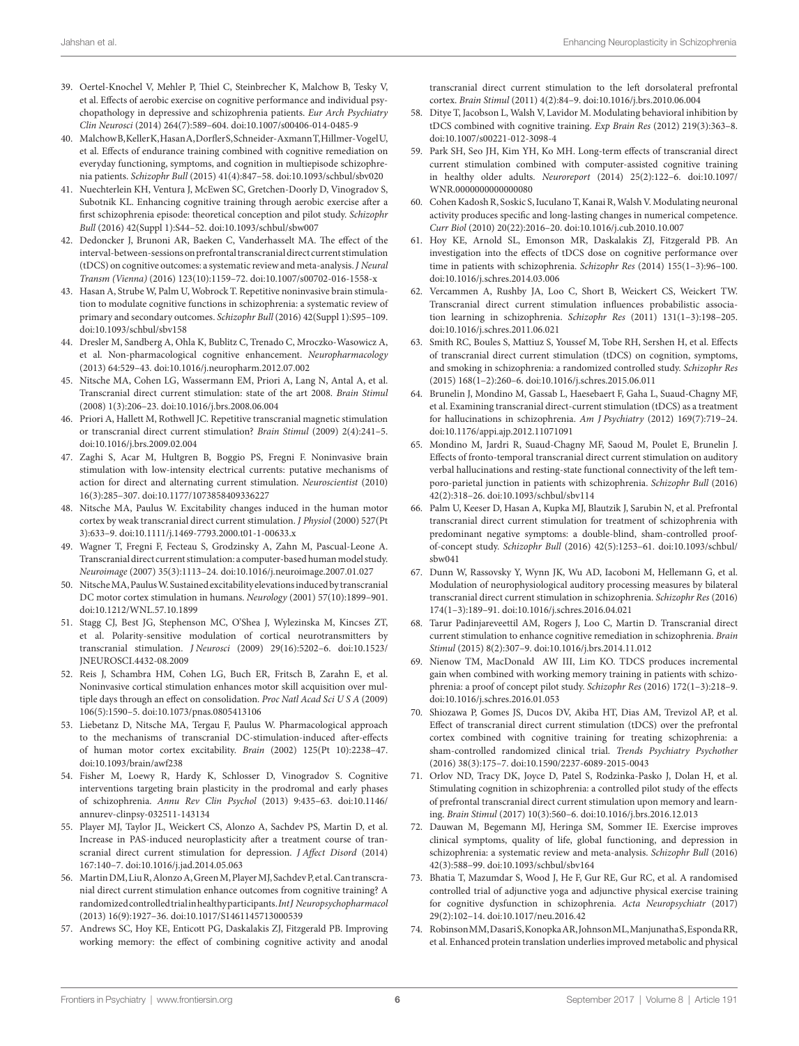- <span id="page-5-0"></span>39. Oertel-Knochel V, Mehler P, Thiel C, Steinbrecher K, Malchow B, Tesky V, et al. Effects of aerobic exercise on cognitive performance and individual psychopathology in depressive and schizophrenia patients. *Eur Arch Psychiatry Clin Neurosci* (2014) 264(7):589–604. doi:[10.1007/s00406-014-0485-9](https://doi.org/10.1007/s00406-014-0485-9)
- <span id="page-5-1"></span>40. Malchow B, Keller K, Hasan A, Dorfler S, Schneider-Axmann T, Hillmer-Vogel U, et al. Effects of endurance training combined with cognitive remediation on everyday functioning, symptoms, and cognition in multiepisode schizophrenia patients. *Schizophr Bull* (2015) 41(4):847–58. doi[:10.1093/schbul/sbv020](https://doi.org/10.1093/schbul/sbv020)
- <span id="page-5-2"></span>41. Nuechterlein KH, Ventura J, McEwen SC, Gretchen-Doorly D, Vinogradov S, Subotnik KL. Enhancing cognitive training through aerobic exercise after a first schizophrenia episode: theoretical conception and pilot study. *Schizophr Bull* (2016) 42(Suppl 1):S44–52. doi[:10.1093/schbul/sbw007](https://doi.org/10.1093/schbul/sbw007)
- <span id="page-5-3"></span>42. Dedoncker J, Brunoni AR, Baeken C, Vanderhasselt MA. The effect of the interval-between-sessions on prefrontal transcranial direct current stimulation (tDCS) on cognitive outcomes: a systematic review and meta-analysis. *J Neural Transm (Vienna)* (2016) 123(10):1159–72. doi:[10.1007/s00702-016-1558-x](https://doi.org/10.1007/s00702-016-1558-x)
- <span id="page-5-4"></span>43. Hasan A, Strube W, Palm U, Wobrock T. Repetitive noninvasive brain stimulation to modulate cognitive functions in schizophrenia: a systematic review of primary and secondary outcomes. *Schizophr Bull* (2016) 42(Suppl 1):S95–109. doi:[10.1093/schbul/sbv158](https://doi.org/10.1093/schbul/sbv158)
- <span id="page-5-5"></span>44. Dresler M, Sandberg A, Ohla K, Bublitz C, Trenado C, Mroczko-Wasowicz A, et al. Non-pharmacological cognitive enhancement. *Neuropharmacology* (2013) 64:529–43. doi[:10.1016/j.neuropharm.2012.07.002](https://doi.org/10.1016/j.neuropharm.2012.07.002)
- <span id="page-5-6"></span>45. Nitsche MA, Cohen LG, Wassermann EM, Priori A, Lang N, Antal A, et al. Transcranial direct current stimulation: state of the art 2008. *Brain Stimul* (2008) 1(3):206–23. doi[:10.1016/j.brs.2008.06.004](https://doi.org/10.1016/j.brs.2008.06.004)
- 46. Priori A, Hallett M, Rothwell JC. Repetitive transcranial magnetic stimulation or transcranial direct current stimulation? *Brain Stimul* (2009) 2(4):241–5. doi:[10.1016/j.brs.2009.02.004](https://doi.org/10.1016/j.brs.2009.02.004)
- <span id="page-5-7"></span>47. Zaghi S, Acar M, Hultgren B, Boggio PS, Fregni F. Noninvasive brain stimulation with low-intensity electrical currents: putative mechanisms of action for direct and alternating current stimulation. *Neuroscientist* (2010) 16(3):285–307. doi[:10.1177/1073858409336227](https://doi.org/10.1177/1073858409336227)
- <span id="page-5-8"></span>48. Nitsche MA, Paulus W. Excitability changes induced in the human motor cortex by weak transcranial direct current stimulation. *J Physiol* (2000) 527(Pt 3):633–9. doi[:10.1111/j.1469-7793.2000.t01-1-00633.x](https://doi.org/10.1111/j.1469-7793.2000.t01-1-00633.x)
- <span id="page-5-9"></span>49. Wagner T, Fregni F, Fecteau S, Grodzinsky A, Zahn M, Pascual-Leone A. Transcranial direct current stimulation: a computer-based human model study. *Neuroimage* (2007) 35(3):1113–24. doi:[10.1016/j.neuroimage.2007.01.027](https://doi.org/10.1016/j.neuroimage.2007.01.027)
- <span id="page-5-10"></span>50. Nitsche MA, Paulus W. Sustained excitability elevations induced by transcranial DC motor cortex stimulation in humans. *Neurology* (2001) 57(10):1899–901. doi:[10.1212/WNL.57.10.1899](https://doi.org/10.1212/WNL.57.10.1899)
- <span id="page-5-11"></span>51. Stagg CJ, Best JG, Stephenson MC, O'Shea J, Wylezinska M, Kincses ZT, et al. Polarity-sensitive modulation of cortical neurotransmitters by transcranial stimulation. *J Neurosci* (2009) 29(16):5202–6. doi[:10.1523/](https://doi.org/10.1523/JNEUROSCI.4432-08.2009) [JNEUROSCI.4432-08.2009](https://doi.org/10.1523/JNEUROSCI.4432-08.2009)
- <span id="page-5-12"></span>52. Reis J, Schambra HM, Cohen LG, Buch ER, Fritsch B, Zarahn E, et al. Noninvasive cortical stimulation enhances motor skill acquisition over multiple days through an effect on consolidation. *Proc Natl Acad Sci U S A* (2009) 106(5):1590–5. doi[:10.1073/pnas.0805413106](https://doi.org/10.1073/pnas.0805413106)
- <span id="page-5-13"></span>53. Liebetanz D, Nitsche MA, Tergau F, Paulus W. Pharmacological approach to the mechanisms of transcranial DC-stimulation-induced after-effects of human motor cortex excitability. *Brain* (2002) 125(Pt 10):2238–47. doi:[10.1093/brain/awf238](https://doi.org/10.1093/brain/awf238)
- <span id="page-5-14"></span>54. Fisher M, Loewy R, Hardy K, Schlosser D, Vinogradov S. Cognitive interventions targeting brain plasticity in the prodromal and early phases of schizophrenia. *Annu Rev Clin Psychol* (2013) 9:435–63. doi[:10.1146/](https://doi.org/10.1146/annurev-clinpsy-032511-143134) [annurev-clinpsy-032511-143134](https://doi.org/10.1146/annurev-clinpsy-032511-143134)
- <span id="page-5-15"></span>55. Player MJ, Taylor JL, Weickert CS, Alonzo A, Sachdev PS, Martin D, et al. Increase in PAS-induced neuroplasticity after a treatment course of transcranial direct current stimulation for depression. *J Affect Disord* (2014) 167:140–7. doi[:10.1016/j.jad.2014.05.063](https://doi.org/10.1016/j.jad.2014.05.063)
- <span id="page-5-16"></span>56. Martin DM, Liu R, Alonzo A, Green M, Player MJ, Sachdev P, et al. Can transcranial direct current stimulation enhance outcomes from cognitive training? A randomized controlled trial in healthy participants. *Int J Neuropsychopharmacol* (2013) 16(9):1927–36. doi:[10.1017/S1461145713000539](https://doi.org/10.1017/S1461145713000539)
- <span id="page-5-17"></span>57. Andrews SC, Hoy KE, Enticott PG, Daskalakis ZJ, Fitzgerald PB. Improving working memory: the effect of combining cognitive activity and anodal

<span id="page-5-18"></span>transcranial direct current stimulation to the left dorsolateral prefrontal cortex. *Brain Stimul* (2011) 4(2):84–9. doi[:10.1016/j.brs.2010.06.004](https://doi.org/10.1016/j.brs.2010.06.004)

- 58. Ditye T, Jacobson L, Walsh V, Lavidor M. Modulating behavioral inhibition by tDCS combined with cognitive training. *Exp Brain Res* (2012) 219(3):363–8. doi:[10.1007/s00221-012-3098-4](https://doi.org/10.1007/s00221-012-3098-4)
- <span id="page-5-19"></span>59. Park SH, Seo JH, Kim YH, Ko MH. Long-term effects of transcranial direct current stimulation combined with computer-assisted cognitive training in healthy older adults. *Neuroreport* (2014) 25(2):122–6. doi[:10.1097/](https://doi.org/10.1097/WNR.0000000000000080) [WNR.0000000000000080](https://doi.org/10.1097/WNR.0000000000000080)
- <span id="page-5-20"></span>60. Cohen Kadosh R, Soskic S, Iuculano T, Kanai R, Walsh V. Modulating neuronal activity produces specific and long-lasting changes in numerical competence. *Curr Biol* (2010) 20(22):2016–20. doi[:10.1016/j.cub.2010.10.007](https://doi.org/10.1016/j.cub.2010.10.007)
- <span id="page-5-21"></span>61. Hoy KE, Arnold SL, Emonson MR, Daskalakis ZJ, Fitzgerald PB. An investigation into the effects of tDCS dose on cognitive performance over time in patients with schizophrenia. *Schizophr Res* (2014) 155(1–3):96–100. doi:[10.1016/j.schres.2014.03.006](https://doi.org/10.1016/j.schres.2014.03.006)
- <span id="page-5-22"></span>62. Vercammen A, Rushby JA, Loo C, Short B, Weickert CS, Weickert TW. Transcranial direct current stimulation influences probabilistic association learning in schizophrenia. *Schizophr Res* (2011) 131(1–3):198–205. doi:[10.1016/j.schres.2011.06.021](https://doi.org/10.1016/j.schres.2011.06.021)
- <span id="page-5-23"></span>63. Smith RC, Boules S, Mattiuz S, Youssef M, Tobe RH, Sershen H, et al. Effects of transcranial direct current stimulation (tDCS) on cognition, symptoms, and smoking in schizophrenia: a randomized controlled study. *Schizophr Res* (2015) 168(1–2):260–6. doi[:10.1016/j.schres.2015.06.011](https://doi.org/10.1016/j.schres.2015.06.011)
- <span id="page-5-24"></span>64. Brunelin J, Mondino M, Gassab L, Haesebaert F, Gaha L, Suaud-Chagny MF, et al. Examining transcranial direct-current stimulation (tDCS) as a treatment for hallucinations in schizophrenia. *Am J Psychiatry* (2012) 169(7):719–24. doi:[10.1176/appi.ajp.2012.11071091](https://doi.org/10.1176/appi.ajp.2012.11071091)
- <span id="page-5-25"></span>65. Mondino M, Jardri R, Suaud-Chagny MF, Saoud M, Poulet E, Brunelin J. Effects of fronto-temporal transcranial direct current stimulation on auditory verbal hallucinations and resting-state functional connectivity of the left temporo-parietal junction in patients with schizophrenia. *Schizophr Bull* (2016) 42(2):318–26. doi:[10.1093/schbul/sbv114](https://doi.org/10.1093/schbul/sbv114)
- <span id="page-5-26"></span>66. Palm U, Keeser D, Hasan A, Kupka MJ, Blautzik J, Sarubin N, et al. Prefrontal transcranial direct current stimulation for treatment of schizophrenia with predominant negative symptoms: a double-blind, sham-controlled proofof-concept study. *Schizophr Bull* (2016) 42(5):1253–61. doi[:10.1093/schbul/](https://doi.org/10.1093/schbul/sbw041) [sbw041](https://doi.org/10.1093/schbul/sbw041)
- <span id="page-5-27"></span>67. Dunn W, Rassovsky Y, Wynn JK, Wu AD, Iacoboni M, Hellemann G, et al. Modulation of neurophysiological auditory processing measures by bilateral transcranial direct current stimulation in schizophrenia. *Schizophr Res* (2016) 174(1–3):189–91. doi:[10.1016/j.schres.2016.04.021](https://doi.org/10.1016/j.schres.2016.04.021)
- <span id="page-5-28"></span>68. Tarur Padinjareveettil AM, Rogers J, Loo C, Martin D. Transcranial direct current stimulation to enhance cognitive remediation in schizophrenia. *Brain Stimul* (2015) 8(2):307–9. doi:[10.1016/j.brs.2014.11.012](https://doi.org/10.1016/j.brs.2014.11.012)
- <span id="page-5-29"></span>69. Nienow TM, MacDonald AW III, Lim KO. TDCS produces incremental gain when combined with working memory training in patients with schizophrenia: a proof of concept pilot study. *Schizophr Res* (2016) 172(1–3):218–9. doi:[10.1016/j.schres.2016.01.053](https://doi.org/10.1016/j.schres.2016.01.053)
- <span id="page-5-30"></span>70. Shiozawa P, Gomes JS, Ducos DV, Akiba HT, Dias AM, Trevizol AP, et al. Effect of transcranial direct current stimulation (tDCS) over the prefrontal cortex combined with cognitive training for treating schizophrenia: a sham-controlled randomized clinical trial. *Trends Psychiatry Psychother* (2016) 38(3):175–7. doi[:10.1590/2237-6089-2015-0043](https://doi.org/10.1590/2237-6089-2015-0043)
- <span id="page-5-31"></span>71. Orlov ND, Tracy DK, Joyce D, Patel S, Rodzinka-Pasko J, Dolan H, et al. Stimulating cognition in schizophrenia: a controlled pilot study of the effects of prefrontal transcranial direct current stimulation upon memory and learning. *Brain Stimul* (2017) 10(3):560–6. doi[:10.1016/j.brs.2016.12.013](https://doi.org/10.1016/j.brs.2016.12.013)
- <span id="page-5-32"></span>72. Dauwan M, Begemann MJ, Heringa SM, Sommer IE. Exercise improves clinical symptoms, quality of life, global functioning, and depression in schizophrenia: a systematic review and meta-analysis. *Schizophr Bull* (2016) 42(3):588–99. doi:[10.1093/schbul/sbv164](https://doi.org/10.1093/schbul/sbv164)
- <span id="page-5-33"></span>73. Bhatia T, Mazumdar S, Wood J, He F, Gur RE, Gur RC, et al. A randomised controlled trial of adjunctive yoga and adjunctive physical exercise training for cognitive dysfunction in schizophrenia. *Acta Neuropsychiatr* (2017) 29(2):102–14. doi:[10.1017/neu.2016.42](https://doi.org/10.1017/neu.2016.42)
- <span id="page-5-34"></span>74. Robinson MM, Dasari S, Konopka AR, Johnson ML, Manjunatha S, Esponda RR, et al. Enhanced protein translation underlies improved metabolic and physical